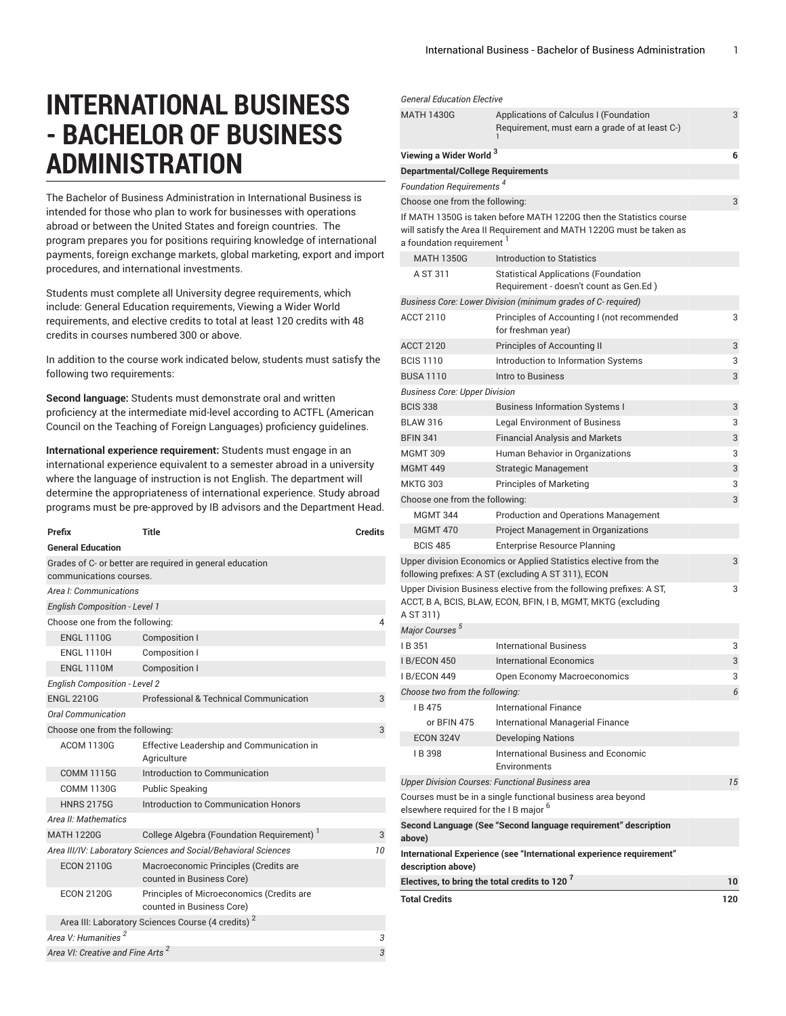# **INTERNATIONAL BUSINESS - BACHELOR OF BUSINESS ADMINISTRATION**

The Bachelor of Business Administration in International Business is intended for those who plan to work for businesses with operations abroad or between the United States and foreign countries. The program prepares you for positions requiring knowledge of international payments, foreign exchange markets, global marketing, export and import procedures, and international investments.

Students must complete all University degree requirements, which include: General Education requirements, Viewing a Wider World requirements, and elective credits to total at least 120 credits with 48 credits in courses numbered 300 or above.

In addition to the course work indicated below, students must satisfy the following two requirements:

**Second language:** Students must demonstrate oral and written proficiency at the intermediate mid-level according to ACTFL (American Council on the Teaching of Foreign Languages) proficiency guidelines.

**International experience requirement:** Students must engage in an international experience equivalent to a semester abroad in a university where the language of instruction is not English. The department will determine the appropriateness of international experience. Study abroad programs must be pre-approved by IB advisors and the Department Head.

| Prefix                                       | Title                                                                  | <b>Credits</b> |
|----------------------------------------------|------------------------------------------------------------------------|----------------|
| <b>General Education</b>                     |                                                                        |                |
|                                              | Grades of C- or better are required in general education               |                |
| communications courses.                      |                                                                        |                |
| Area I: Communications                       |                                                                        |                |
| <b>English Composition - Level 1</b>         |                                                                        |                |
| Choose one from the following:               |                                                                        | 4              |
| <b>ENGL 1110G</b>                            | Composition I                                                          |                |
| <b>ENGL 1110H</b>                            | Composition I                                                          |                |
| <b>ENGL 1110M</b>                            | Composition I                                                          |                |
| <b>English Composition - Level 2</b>         |                                                                        |                |
| <b>ENGL 2210G</b>                            | Professional & Technical Communication                                 | 3              |
| Oral Communication                           |                                                                        |                |
| Choose one from the following:               |                                                                        | 3              |
| <b>ACOM 1130G</b>                            | Effective Leadership and Communication in<br>Agriculture               |                |
| <b>COMM 1115G</b>                            | Introduction to Communication                                          |                |
| <b>COMM 1130G</b>                            | <b>Public Speaking</b>                                                 |                |
| <b>HNRS 2175G</b>                            | Introduction to Communication Honors                                   |                |
| Area II: Mathematics                         |                                                                        |                |
| <b>MATH 1220G</b>                            | College Algebra (Foundation Requirement) <sup>1</sup>                  | 3              |
|                                              | Area III/IV: Laboratory Sciences and Social/Behavioral Sciences        | 10             |
| <b>ECON 2110G</b>                            | Macroeconomic Principles (Credits are<br>counted in Business Core)     |                |
| <b>ECON 2120G</b>                            | Principles of Microeconomics (Credits are<br>counted in Business Core) |                |
|                                              | Area III: Laboratory Sciences Course (4 credits) <sup>2</sup>          |                |
| Area V: Humanities <sup>2</sup>              |                                                                        | 3              |
| Area VI: Creative and Fine Arts <sup>2</sup> |                                                                        | 3              |

| <b>General Education Elective</b>                         |                                                                                                                                      |     |
|-----------------------------------------------------------|--------------------------------------------------------------------------------------------------------------------------------------|-----|
| <b>MATH 1430G</b>                                         | Applications of Calculus I (Foundation                                                                                               | 3   |
|                                                           | Requirement, must earn a grade of at least C-)                                                                                       |     |
| Viewing a Wider World <sup>3</sup>                        |                                                                                                                                      | 6   |
| <b>Departmental/College Requirements</b>                  |                                                                                                                                      |     |
| Foundation Requirements <sup>4</sup>                      |                                                                                                                                      |     |
| Choose one from the following:                            |                                                                                                                                      | 3   |
|                                                           | If MATH 1350G is taken before MATH 1220G then the Statistics course                                                                  |     |
|                                                           | will satisfy the Area II Requirement and MATH 1220G must be taken as                                                                 |     |
| a foundation requirement                                  |                                                                                                                                      |     |
| <b>MATH 1350G</b>                                         | Introduction to Statistics                                                                                                           |     |
| A ST 311                                                  | <b>Statistical Applications (Foundation</b><br>Requirement - doesn't count as Gen.Ed)                                                |     |
|                                                           | Business Core: Lower Division (minimum grades of C-required)                                                                         |     |
| <b>ACCT 2110</b>                                          | Principles of Accounting I (not recommended<br>for freshman year)                                                                    | 3   |
| <b>ACCT 2120</b>                                          | Principles of Accounting II                                                                                                          | 3   |
| <b>BCIS 1110</b>                                          | Introduction to Information Systems                                                                                                  | 3   |
| <b>BUSA 1110</b>                                          | Intro to Business                                                                                                                    | 3   |
| <b>Business Core: Upper Division</b>                      |                                                                                                                                      |     |
| <b>BCIS 338</b>                                           | <b>Business Information Systems I</b>                                                                                                | 3   |
| <b>BLAW 316</b>                                           | <b>Legal Environment of Business</b>                                                                                                 | 3   |
| <b>BFIN 341</b>                                           | <b>Financial Analysis and Markets</b>                                                                                                | 3   |
| <b>MGMT 309</b>                                           | Human Behavior in Organizations                                                                                                      | 3   |
| <b>MGMT 449</b>                                           | Strategic Management                                                                                                                 | 3   |
| <b>MKTG 303</b>                                           | <b>Principles of Marketing</b>                                                                                                       | 3   |
| Choose one from the following:                            |                                                                                                                                      | 3   |
| <b>MGMT 344</b>                                           | <b>Production and Operations Management</b>                                                                                          |     |
| <b>MGMT 470</b>                                           | Project Management in Organizations                                                                                                  |     |
| <b>BCIS 485</b>                                           | <b>Enterprise Resource Planning</b>                                                                                                  |     |
|                                                           | Upper division Economics or Applied Statistics elective from the<br>following prefixes: A ST (excluding A ST 311), ECON              | 3   |
| A ST 311)                                                 | Upper Division Business elective from the following prefixes: A ST,<br>ACCT, B A, BCIS, BLAW, ECON, BFIN, I B, MGMT, MKTG (excluding | 3   |
| Major Courses <sup>5</sup>                                |                                                                                                                                      |     |
| IB 351                                                    | <b>International Business</b>                                                                                                        | 3   |
| I B/ECON 450                                              | <b>International Economics</b>                                                                                                       | 3   |
| I B/ECON 449                                              | Open Economy Macroeconomics                                                                                                          | 3   |
| Choose two from the following:                            |                                                                                                                                      | 6   |
| IB475                                                     | International Finance                                                                                                                |     |
| or BFIN 475                                               | International Managerial Finance                                                                                                     |     |
| ECON 324V                                                 | <b>Developing Nations</b>                                                                                                            |     |
| IB 398                                                    | International Business and Economic<br>Environments                                                                                  |     |
|                                                           | <b>Upper Division Courses: Functional Business area</b>                                                                              | 15  |
| elsewhere required for the IB major <sup>6</sup>          | Courses must be in a single functional business area beyond                                                                          |     |
| above)                                                    | Second Language (See "Second language requirement" description                                                                       |     |
| description above)                                        | International Experience (see "International experience requirement"                                                                 |     |
| Electives, to bring the total credits to 120 <sup>7</sup> |                                                                                                                                      | 10  |
| <b>Total Credits</b>                                      |                                                                                                                                      | 120 |
|                                                           |                                                                                                                                      |     |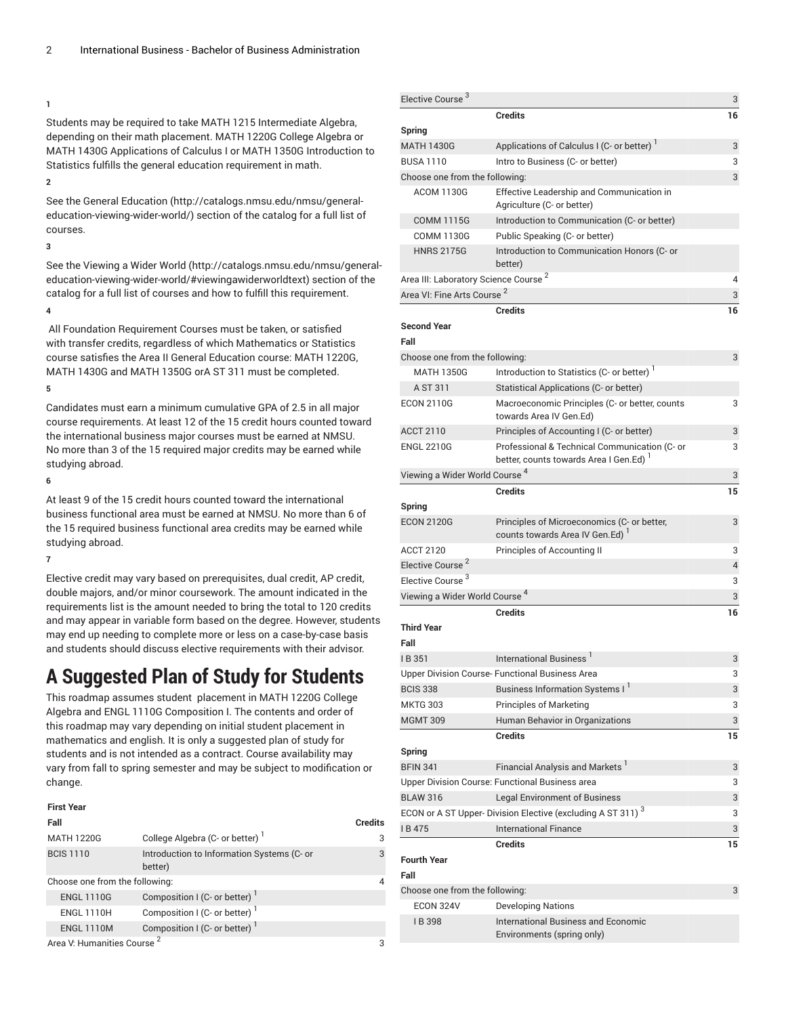#### **1**

Students may be required to take MATH 1215 Intermediate Algebra, depending on their math placement. MATH 1220G College Algebra or MATH 1430G Applications of Calculus I or MATH 1350G Introduction to Statistics fulfills the general education requirement in math.

# **2**

See the General [Education \(http://catalogs.nmsu.edu/nmsu/general](http://catalogs.nmsu.edu/nmsu/general-education-viewing-wider-world/)[education-viewing-wider-world/\)](http://catalogs.nmsu.edu/nmsu/general-education-viewing-wider-world/) section of the catalog for a full list of courses.

#### **3**

See the [Viewing](http://catalogs.nmsu.edu/nmsu/general-education-viewing-wider-world/#viewingawiderworldtext) a Wider World ([http://catalogs.nmsu.edu/nmsu/general](http://catalogs.nmsu.edu/nmsu/general-education-viewing-wider-world/#viewingawiderworldtext)[education-viewing-wider-world/#viewingawiderworldtext\)](http://catalogs.nmsu.edu/nmsu/general-education-viewing-wider-world/#viewingawiderworldtext) section of the catalog for a full list of courses and how to fulfill this requirement.

# **4**

All Foundation Requirement Courses must be taken, or satisfied with transfer credits, regardless of which Mathematics or Statistics course satisfies the Area II General Education course: MATH 1220G, MATH 1430G and MATH 1350G orA ST 311 must be completed.

### **5**

Candidates must earn a minimum cumulative GPA of 2.5 in all major course requirements. At least 12 of the 15 credit hours counted toward the international business major courses must be earned at NMSU. No more than 3 of the 15 required major credits may be earned while studying abroad.

### **6**

At least 9 of the 15 credit hours counted toward the international business functional area must be earned at NMSU. No more than 6 of the 15 required business functional area credits may be earned while studying abroad.

### **7**

Elective credit may vary based on prerequisites, dual credit, AP credit, double majors, and/or minor coursework. The amount indicated in the requirements list is the amount needed to bring the total to 120 credits and may appear in variable form based on the degree. However, students may end up needing to complete more or less on a case-by-case basis and students should discuss elective requirements with their advisor.

# **A Suggested Plan of Study for Students**

This roadmap assumes student placement in MATH 1220G College Algebra and ENGL 1110G Composition I. The contents and order of this roadmap may vary depending on initial student placement in mathematics and english. It is only a suggested plan of study for students and is not intended as a contract. Course availability may vary from fall to spring semester and may be subject to modification or change.

| <b>First Year</b>                      |                                                       |                |
|----------------------------------------|-------------------------------------------------------|----------------|
| Fall                                   |                                                       | <b>Credits</b> |
| <b>MATH 1220G</b>                      | College Algebra (C- or better)                        | 3              |
| <b>BCIS 1110</b>                       | Introduction to Information Systems (C- or<br>better) | 3              |
| Choose one from the following:         |                                                       | 4              |
| <b>ENGL 1110G</b>                      | Composition I (C- or better)                          |                |
| <b>ENGL 1110H</b>                      | Composition I (C- or better) <sup>1</sup>             |                |
| <b>ENGL 1110M</b>                      | Composition I (C- or better)                          |                |
| $\Delta$ rea V: Humanities Course $^2$ |                                                       |                |

Elective Course <sup>3</sup> 3 **Credits 16 Spring** MATH 1430G Applications of Calculus I (C- or better)<sup>1</sup> 3 BUSA 1110 Intro to Business (C- or better) 3 Choose one from the following: 3 ACOM 1130G Effective Leadership and Communication in Agriculture (C- or better) COMM 1115G Introduction to Communication (C- or better) COMM 1130G Public Speaking (C- or better) HNRS 2175G Introduction to Communication Honors (C- or better) Area III: Laboratory Science Course <sup>2</sup> 4 Area VI: Fine Arts Course <sup>2</sup> 3 **Credits 16 Second Year Fall** Choose one from the following: 33 MATH 1350G Introduction to Statistics (C- or better) A ST 311 Statistical Applications (C- or better) ECON 2110G Macroeconomic Principles (C- or better, counts towards Area IV Gen.Ed) 3 ACCT 2110 Principles of Accounting I (C- or better) 3 ENGL 2210G Professional & Technical Communication (C- or better, counts towards Area I Gen.Ed) 3 Viewing a Wider World Course 4 3 **Credits 15 Spring** ECON 2120G Principles of Microeconomics (C- or better, counts towards Area IV Gen.Ed) <sup>1</sup> 3 ACCT 2120 Principles of Accounting II 3 Elective Course<sup>2</sup> 4 Elective Course<sup>3</sup> 3 Viewing a Wider World Course 4 3 **Credits 16 Third Year Fall** I B 351 International Business<sup>1</sup> 3 Upper Division Course- Functional Business Area 3 BCIS 338 Business Information Systems I<sup>1</sup> 3 MKTG 303 Principles of Marketing 3 MGMT 309 Human Behavior in Organizations 3 **Credits 15 Spring** BFIN 341  $\,$  Financial Analysis and Markets  $^1$ 3 Upper Division Course: Functional Business area 3 BLAW 316 Legal Environment of Business 3 ECON or A ST Upper- Division Elective (excluding A ST 311)  $^{\rm 3}$ 3 I B 475 International Finance 3 **Credits 15 Fourth Year Fall** Choose one from the following: 3 ECON 324V Developing Nations I B 398 International Business and Economic Environments (spring only)

Area V: Humanities Course